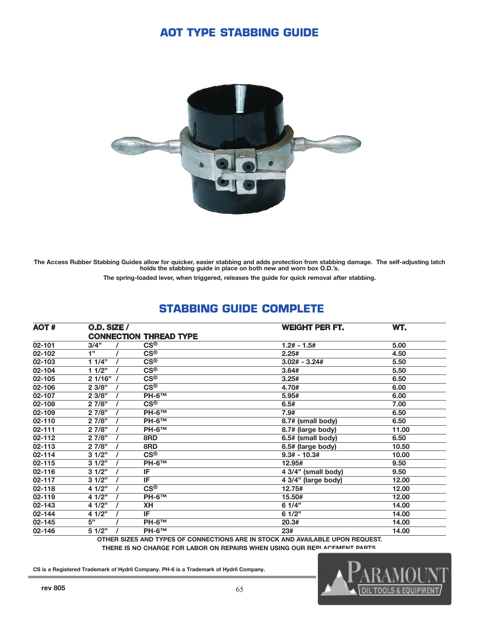### **AOT TYPE STABBING GUIDE**



The Access Rubber Stabbing Guides allow for quicker, easier stabbing and adds protection from stabbing damage. The self-adjusting latch holds the stabbing guide in place on both new and worn box O.D.'s.

The spring-loaded lever, when triggered, releases the guide for quick removal after stabbing.

| <b>AOT#</b> | <b>O.D. SIZE /</b> |                               | <b>WEIGHT PER FT.</b> | WT.   |
|-------------|--------------------|-------------------------------|-----------------------|-------|
|             |                    | <b>CONNECTION THREAD TYPE</b> |                       |       |
| $02 - 101$  | 3/4"               | CS®                           | $1.2# - 1.5#$         | 5.00  |
| 02-102      | 1"                 | <b>CS®</b>                    | 2.25#                 | 4.50  |
| 02-103      | 11/4"              | <b>CS®</b>                    | $3.02# - 3.24#$       | 5.50  |
| 02-104      | 11/2"              | <b>CS®</b>                    | 3.64#                 | 5.50  |
| 02-105      | 21/16"             | <b>CS®</b>                    | 3.25#                 | 6.50  |
| 02-106      | 2 3/8"             | <b>CS®</b>                    | 4.70#                 | 6.00  |
| 02-107      | 23/8"              | $PH-6TM$                      | 5.95#                 | 6.00  |
| 02-108      | 27/8"              | $CS^{\circledR}$              | 6.5#                  | 7.00  |
| 02-109      | 27/8"              | $PH-6TM$                      | 7.9#                  | 6.50  |
| 02-110      | 27/8"              | <b>PH-6™</b>                  | 8.7# (small body)     | 6.50  |
| 02-111      | 27/8"              | <b>PH-6™</b>                  | 8.7# (large body)     | 11.00 |
| 02-112      | 27/8"              | 8RD                           | 6.5# (small body)     | 6.50  |
| 02-113      | 27/8"              | 8RD                           | 6.5# (large body)     | 10.50 |
| 02-114      | 31/2"              | $CS^{\circledR}$              | $9.3# - 10.3#$        | 10.00 |
| 02-115      | 31/2"              | <b>PH-6™</b>                  | 12.95#                | 9.50  |
| 02-116      | 31/2"              | IF                            | 4 3/4" (small body)   | 9.50  |
| 02-117      | 31/2"              | IF                            | 4 3/4" (large body)   | 12.00 |
| 02-118      | 4 1/2"             | <b>CS®</b>                    | 12.75#                | 12.00 |
| 02-119      | 4 1/2"             | <b>PH-6™</b>                  | 15.50#                | 12.00 |
| 02-143      | 4 1/2"             | <b>XH</b>                     | 61/4"                 | 14.00 |
| 02-144      | 4 1/2"             | IF                            | 6 1/2"                | 14.00 |
| 02-145      | 5"                 | $PH-6TM$                      | 20.3#                 | 14.00 |
| 02-146      | 51/2"              | <b>PH-6™</b>                  | 23#                   | 14.00 |

# **STABBING GUIDE COMPLETE**

OTHER SIZES AND TYPES OF CONNECTIONS ARE IN STOCK AND AVAILABLE UPON REQUEST.

THERE IS NO CHARGE FOR LABOR ON REPAIRS WHEN USING OUR REPLACEMENT PARTS.

CS is a Registered Trademark of Hydril Company. PH-6 is a Trademark of Hydril Company.